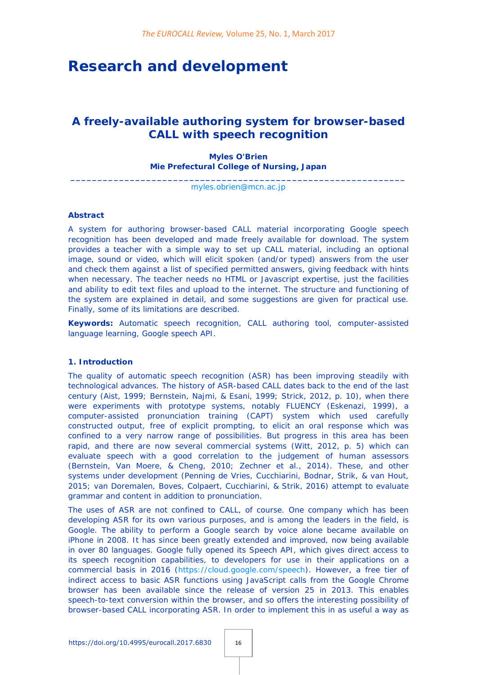# **Research and development**

# *A freely-available authoring system for browser-based CALL with speech recognition*

# **Myles O'Brien Mie Prefectural College of Nursing, Japan**

**\_\_\_\_\_\_\_\_\_\_\_\_\_\_\_\_\_\_\_\_\_\_\_\_\_\_\_\_\_\_\_\_\_\_\_\_\_\_\_\_\_\_\_\_\_\_\_\_\_\_\_\_\_\_\_\_\_\_\_\_\_\_** [myles.obrien@mcn.ac.jp](mailto:myles.obrien@mcn.ac.jp)

#### **Abstract**

A system for authoring browser-based CALL material incorporating Google speech recognition has been developed and made freely available for download. The system provides a teacher with a simple way to set up CALL material, including an optional image, sound or video, which will elicit spoken (and/or typed) answers from the user and check them against a list of specified permitted answers, giving feedback with hints when necessary. The teacher needs no HTML or Javascript expertise, just the facilities and ability to edit text files and upload to the internet. The structure and functioning of the system are explained in detail, and some suggestions are given for practical use. Finally, some of its limitations are described.

**Keywords:** Automatic speech recognition, CALL authoring tool, computer-assisted language learning, Google speech API.

#### **1. Introduction**

The quality of automatic speech recognition (ASR) has been improving steadily with technological advances. The history of ASR-based CALL dates back to the end of the last century (Aist, 1999; Bernstein, Najmi, & Esani, 1999; Strick, 2012, p. 10), when there were experiments with prototype systems, notably FLUENCY (Eskenazi, 1999), a computer-assisted pronunciation training (CAPT) system which used carefully constructed output, free of explicit prompting, to elicit an oral response which was confined to a very narrow range of possibilities. But progress in this area has been rapid, and there are now several commercial systems (Witt, 2012, p. 5) which can evaluate speech with a good correlation to the judgement of human assessors (Bernstein, Van Moere, & Cheng, 2010; Zechner et al., 2014). These, and other systems under development (Penning de Vries, Cucchiarini, Bodnar, Strik, & van Hout, 2015; van Doremalen, Boves, Colpaert, Cucchiarini, & Strik, 2016) attempt to evaluate grammar and content in addition to pronunciation.

The uses of ASR are not confined to CALL, of course. One company which has been developing ASR for its own various purposes, and is among the leaders in the field, is Google. The ability to perform a Google search by voice alone became available on iPhone in 2008. It has since been greatly extended and improved, now being available in over 80 languages. Google fully opened its Speech API, which gives direct access to its speech recognition capabilities, to developers for use in their applications on a commercial basis in 2016 [\(https://cloud.google.com/speech\)](https://cloud.google.com/speech). However, a free tier of indirect access to basic ASR functions using JavaScript calls from the Google Chrome browser has been available since the release of version 25 in 2013. This enables speech-to-text conversion within the browser, and so offers the interesting possibility of browser-based CALL incorporating ASR. In order to implement this in as useful a way as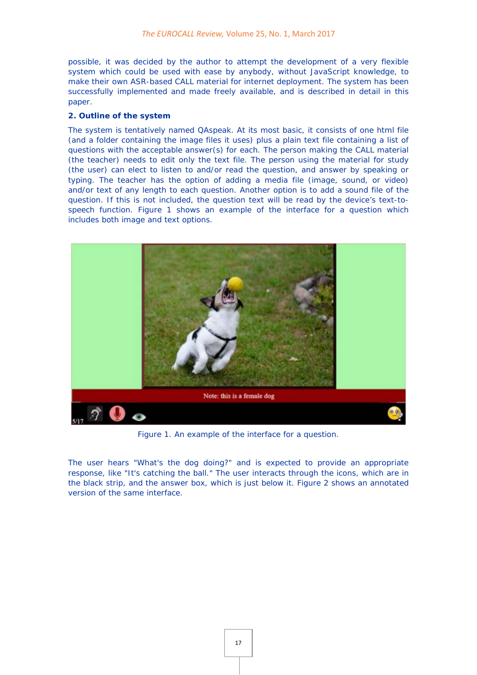possible, it was decided by the author to attempt the development of a very flexible system which could be used with ease by anybody, without JavaScript knowledge, to make their own ASR-based CALL material for internet deployment. The system has been successfully implemented and made freely available, and is described in detail in this paper.

# **2. Outline of the system**

The system is tentatively named *QAspeak*. At its most basic, it consists of one html file (and a folder containing the image files it uses) plus a plain text file containing a list of questions with the acceptable answer(s) for each. The person making the CALL material (the teacher) needs to edit only the text file. The person using the material for study (the user) can elect to listen to and/or read the question, and answer by speaking or typing. The teacher has the option of adding a media file (image, sound, or video) and/or text of any length to each question. Another option is to add a sound file of the question. If this is not included, the question text will be read by the device's text-tospeech function. Figure 1 shows an example of the interface for a question which includes both image and text options.



Figure 1. An example of the interface for a question.

The user hears "What's the dog doing?" and is expected to provide an appropriate response, like "It's catching the ball." The user interacts through the icons, which are in the black strip, and the answer box, which is just below it. Figure 2 shows an annotated version of the same interface.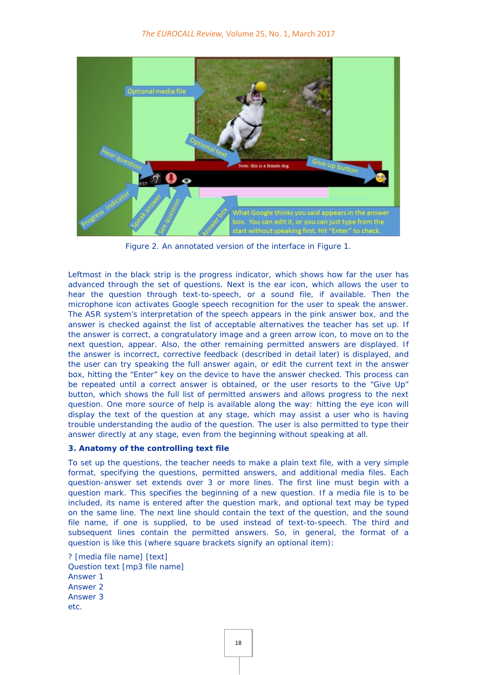

Figure 2. An annotated version of the interface in Figure 1.

Leftmost in the black strip is the progress indicator, which shows how far the user has advanced through the set of questions. Next is the ear icon, which allows the user to hear the question through text-to-speech, or a sound file, if available. Then the microphone icon activates Google speech recognition for the user to speak the answer. The ASR system's interpretation of the speech appears in the pink answer box, and the answer is checked against the list of acceptable alternatives the teacher has set up. If the answer is correct, a congratulatory image and a green arrow icon, to move on to the next question, appear. Also, the other remaining permitted answers are displayed. If the answer is incorrect, corrective feedback (described in detail later) is displayed, and the user can try speaking the full answer again, or edit the current text in the answer box, hitting the "Enter" key on the device to have the answer checked. This process can be repeated until a correct answer is obtained, or the user resorts to the "Give Up" button, which shows the full list of permitted answers and allows progress to the next question. One more source of help is available along the way: hitting the eye icon will display the text of the question at any stage, which may assist a user who is having trouble understanding the audio of the question. The user is also permitted to type their answer directly at any stage, even from the beginning without speaking at all.

# **3. Anatomy of the controlling text file**

To set up the questions, the teacher needs to make a plain text file, with a very simple format, specifying the questions, permitted answers, and additional media files. Each question-answer set extends over 3 or more lines. The first line must begin with a question mark. This specifies the beginning of a new question. If a media file is to be included, its name is entered after the question mark, and optional text may be typed on the same line. The next line should contain the text of the question, and the sound file name, if one is supplied, to be used instead of text-to-speech. The third and subsequent lines contain the permitted answers. So, in general, the format of a question is like this (where square brackets signify an optional item):

*? [media file name] [text] Question text [mp3 file name] Answer 1 Answer 2 Answer 3 etc.*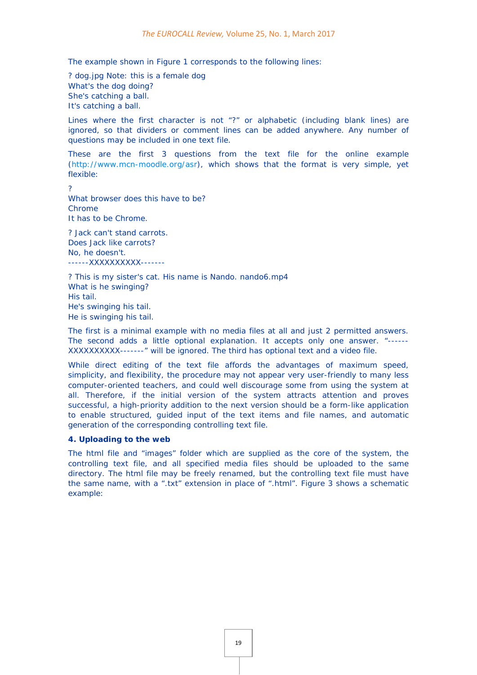The example shown in Figure 1 corresponds to the following lines:

*? dog.jpg Note: this is a female dog What's the dog doing? She's catching a ball. It's catching a ball.* 

Lines where the first character is not "?" or alphabetic (including blank lines) are ignored, so that dividers or comment lines can be added anywhere. Any number of questions may be included in one text file.

These are the first 3 questions from the text file for the online example [\(http://www.mcn-moodle.org/asr\)](http://www.mcn-moodle.org/asr), which shows that the format is very simple, yet flexible:

 $\mathcal{L}$ 

What browser does this have to be? Chrome It has to be Chrome.

*? Jack can't stand carrots. Does Jack like carrots? No, he doesn't. ------XXXXXXXXXX-------*

*? This is my sister's cat. His name is Nando. nando6.mp4 What is he swinging? His tail. He's swinging his tail. He is swinging his tail.*

The first is a minimal example with no media files at all and just 2 permitted answers. The second adds a little optional explanation. It accepts only one answer. "------ XXXXXXXXXX-------" will be ignored. The third has optional text and a video file.

While direct editing of the text file affords the advantages of maximum speed, simplicity, and flexibility, the procedure may not appear very user-friendly to many less computer-oriented teachers, and could well discourage some from using the system at all. Therefore, if the initial version of the system attracts attention and proves successful, a high-priority addition to the next version should be a form-like application to enable structured, guided input of the text items and file names, and automatic generation of the corresponding controlling text file.

#### **4. Uploading to the web**

The html file and "images" folder which are supplied as the core of the system, the controlling text file, and all specified media files should be uploaded to the same directory. The html file may be freely renamed, but the controlling text file must have the same name, with a ".txt" extension in place of ".html". Figure 3 shows a schematic example: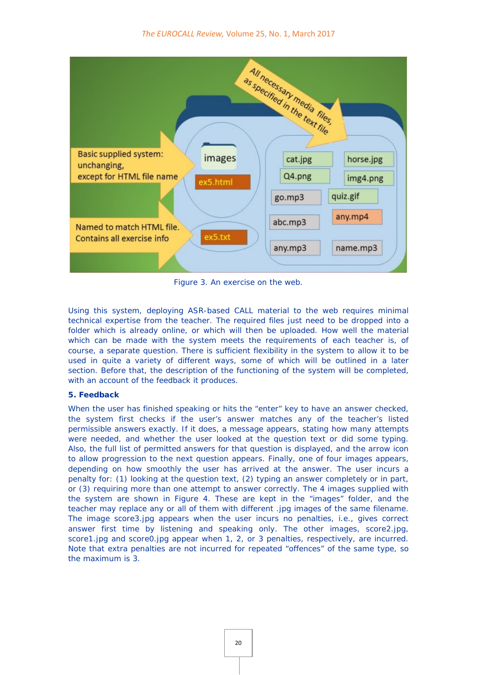

Figure 3. An exercise on the web.

Using this system, deploying ASR-based CALL material to the web requires minimal technical expertise from the teacher. The required files just need to be dropped into a folder which is already online, or which will then be uploaded. How well the material which can be made with the system meets the requirements of each teacher is, of course, a separate question. There is sufficient flexibility in the system to allow it to be used in quite a variety of different ways, some of which will be outlined in a later section. Before that, the description of the functioning of the system will be completed, with an account of the feedback it produces.

# **5. Feedback**

When the user has finished speaking or hits the "enter" key to have an answer checked, the system first checks if the user's answer matches any of the teacher's listed permissible answers exactly. If it does, a message appears, stating how many attempts were needed, and whether the user looked at the question text or did some typing. Also, the full list of permitted answers for that question is displayed, and the arrow icon to allow progression to the next question appears. Finally, one of four images appears, depending on how smoothly the user has arrived at the answer. The user incurs a penalty for: (1) looking at the question text, (2) typing an answer completely or in part, or (3) requiring more than one attempt to answer correctly. The 4 images supplied with the system are shown in Figure 4. These are kept in the "images" folder, and the teacher may replace any or all of them with different .jpg images of the same filename. The image *score3.jpg* appears when the user incurs no penalties, i.e., gives correct answer first time by listening and speaking only. The other images, *score2.jpg, score1.jpg* and *score0.jpg* appear when 1, 2, or 3 penalties, respectively, are incurred. Note that extra penalties are not incurred for repeated "offences" of the same type, so the maximum is 3.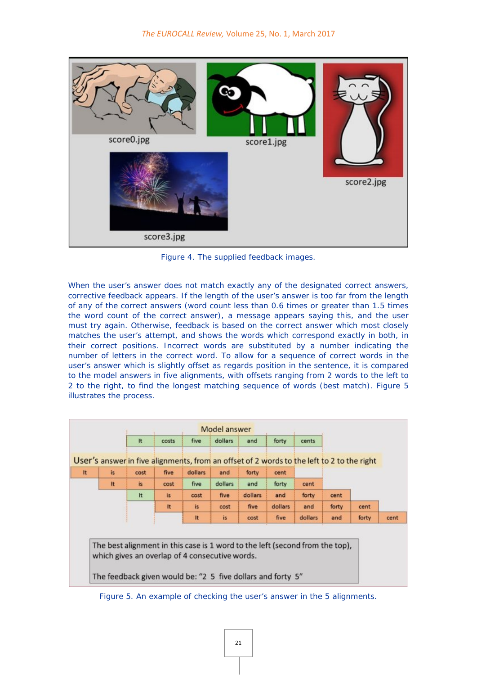

Figure 4. The supplied feedback images.

When the user's answer does not match exactly any of the designated correct answers, corrective feedback appears. If the length of the user's answer is too far from the length of any of the correct answers (word count less than 0.6 times or greater than 1.5 times the word count of the correct answer), a message appears saying this, and the user must try again. Otherwise, feedback is based on the correct answer which most closely matches the user's attempt, and shows the words which correspond exactly in both, in their correct positions. Incorrect words are substituted by a number indicating the number of letters in the correct word. To allow for a sequence of correct words in the user's answer which is slightly offset as regards position in the sentence, it is compared to the model answers in five alignments, with offsets ranging from 2 words to the left to 2 to the right, to find the longest matching sequence of words (best match). Figure 5 illustrates the process.

|     |      |       |         | Model answer |         |         |         |       |       |                                                                                           |
|-----|------|-------|---------|--------------|---------|---------|---------|-------|-------|-------------------------------------------------------------------------------------------|
|     | It   | costs | five    | dollars      | and     | forty   | cents   |       |       |                                                                                           |
|     |      |       |         |              |         |         |         |       |       |                                                                                           |
| is. | cost | five  | dollars | and          | forty   | cent    |         |       |       |                                                                                           |
| It  | is.  | cost  | five    | dollars      | and     | forty   | cent    |       |       |                                                                                           |
|     | It   | is.   | cost    | five         | dollars | and     | forty   | cent  |       |                                                                                           |
|     |      | It.   | is.     | cost         | five    | dollars | and     | forty | cent  |                                                                                           |
|     |      |       | It      | is.          | cost    | five    | dollars | and   | forty | cent                                                                                      |
|     |      |       |         |              |         |         |         |       |       | User's answer in five alignments, from an offset of 2 words to the left to 2 to the right |

Figure 5. An example of checking the user's answer in the 5 alignments.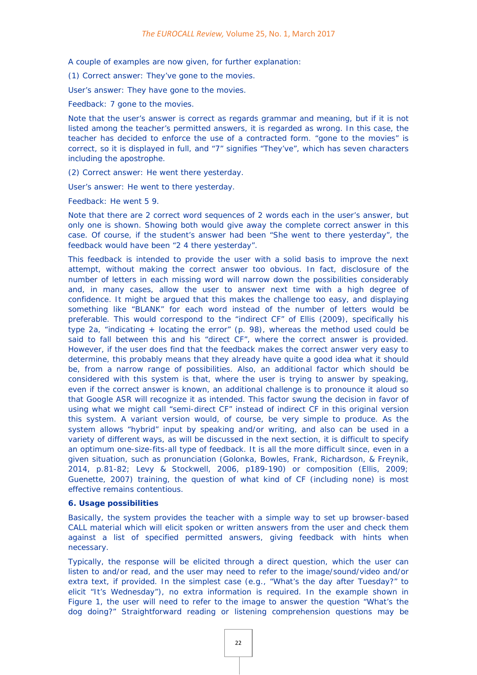A couple of examples are now given, for further explanation:

(1) Correct answer: *They've gone to the movies.*

User's answer: *They have gone to the movies.* 

Feedback: *7 gone to the movies.* 

Note that the user's answer is correct as regards grammar and meaning, but if it is not listed among the teacher's permitted answers, it is regarded as wrong. In this case, the teacher has decided to enforce the use of a contracted form. "gone to the movies" is correct, so it is displayed in full, and "7" signifies "They've", which has seven characters including the apostrophe.

(2) Correct answer: *He went there yesterday.*

User's answer: *He went to there yesterday.* 

Feedback: *He went 5 9.* 

Note that there are 2 correct word sequences of 2 words each in the user's answer, but only one is shown. Showing both would give away the complete correct answer in this case. Of course, if the student's answer had been "She went to there yesterday", the feedback would have been "2 4 there yesterday".

This feedback is intended to provide the user with a solid basis to improve the next attempt, without making the correct answer too obvious. In fact, disclosure of the number of letters in each missing word will narrow down the possibilities considerably and, in many cases, allow the user to answer next time with a high degree of confidence. It might be argued that this makes the challenge too easy, and displaying something like "BLANK" for each word instead of the number of letters would be preferable. This would correspond to the "indirect CF" of Ellis (2009), specifically his type 2a, "indicating + locating the error" (p. 98), whereas the method used could be said to fall between this and his "direct CF", where the correct answer is provided. However, if the user does find that the feedback makes the correct answer very easy to determine, this probably means that they already have quite a good idea what it should be, from a narrow range of possibilities. Also, an additional factor which should be considered with this system is that, where the user is trying to answer by speaking, even if the correct answer is known, an additional challenge is to pronounce it aloud so that Google ASR will recognize it as intended. This factor swung the decision in favor of using what we might call "semi-direct CF" instead of indirect CF in this original version this system. A variant version would, of course, be very simple to produce. As the system allows "hybrid" input by speaking and/or writing, and also can be used in a variety of different ways, as will be discussed in the next section, it is difficult to specify an optimum one-size-fits-all type of feedback. It is all the more difficult since, even in a given situation, such as pronunciation (Golonka, Bowles, Frank, Richardson, & Freynik, 2014, p.81-82; Levy & Stockwell, 2006, p189-190) or composition (Ellis, 2009; Guenette, 2007) training, the question of what kind of CF (including none) is most effective remains contentious.

#### **6. Usage possibilities**

Basically, the system provides the teacher with a simple way to set up browser-based CALL material which will elicit spoken or written answers from the user and check them against a list of specified permitted answers, giving feedback with hints when necessary.

Typically, the response will be elicited through a direct question, which the user can listen to and/or read, and the user may need to refer to the image/sound/video and/or extra text, if provided. In the simplest case (e.g., "What's the day after Tuesday?" to elicit "It's Wednesday"), no extra information is required. In the example shown in Figure 1, the user will need to refer to the image to answer the question "What's the dog doing?" Straightforward reading or listening comprehension questions may be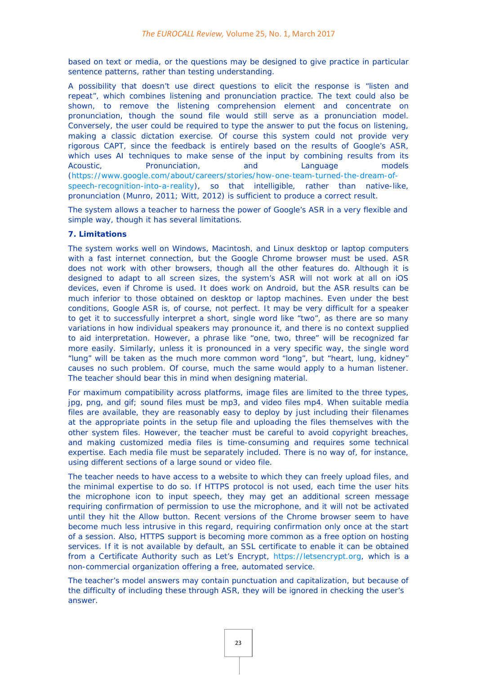based on text or media, or the questions may be designed to give practice in particular sentence patterns, rather than testing understanding.

A possibility that doesn't use direct questions to elicit the response is "listen and repeat", which combines listening and pronunciation practice. The text could also be shown, to remove the listening comprehension element and concentrate on pronunciation, though the sound file would still serve as a pronunciation model. Conversely, the user could be required to type the answer to put the focus on listening, making a classic dictation exercise. Of course this system could not provide very rigorous CAPT, since the feedback is entirely based on the results of Google's ASR, which uses AI techniques to make sense of the input by combining results from its Acoustic, **Pronunciation,** and Language models [\(https://www.google.com/about/careers/stories/how-one-team-turned-the-dream-of](https://www.google.com/about/careers/stories/how-one-team-turned-the-dream-of-speech-recognition-into-a-reality/)[speech-recognition-into-a-reality\)](https://www.google.com/about/careers/stories/how-one-team-turned-the-dream-of-speech-recognition-into-a-reality/), so that intelligible, rather than native-like, pronunciation (Munro, 2011; Witt, 2012) is sufficient to produce a correct result.

The system allows a teacher to harness the power of Google's ASR in a very flexible and simple way, though it has several limitations.

### **7. Limitations**

The system works well on Windows, Macintosh, and Linux desktop or laptop computers with a fast internet connection, but the Google Chrome browser must be used. ASR does not work with other browsers, though all the other features do. Although it is designed to adapt to all screen sizes, the system's ASR will not work at all on iOS devices, even if Chrome is used. It does work on Android, but the ASR results can be much inferior to those obtained on desktop or laptop machines. Even under the best conditions, Google ASR is, of course, not perfect. It may be very difficult for a speaker to get it to successfully interpret a short, single word like "two", as there are so many variations in how individual speakers may pronounce it, and there is no context supplied to aid interpretation. However, a phrase like "one, two, three" will be recognized far more easily. Similarly, unless it is pronounced in a very specific way, the single word "lung" will be taken as the much more common word "long", but "heart, lung, kidney" causes no such problem. Of course, much the same would apply to a human listener. The teacher should bear this in mind when designing material.

For maximum compatibility across platforms, image files are limited to the three types, jpg, png, and gif; sound files must be mp3, and video files mp4. When suitable media files are available, they are reasonably easy to deploy by just including their filenames at the appropriate points in the setup file and uploading the files themselves with the other system files. However, the teacher must be careful to avoid copyright breaches, and making customized media files is time-consuming and requires some technical expertise. Each media file must be separately included. There is no way of, for instance, using different sections of a large sound or video file.

The teacher needs to have access to a website to which they can freely upload files, and the minimal expertise to do so. If HTTPS protocol is not used, each time the user hits the microphone icon to input speech, they may get an additional screen message requiring confirmation of permission to use the microphone, and it will not be activated until they hit the *Allow* button. Recent versions of the Chrome browser seem to have become much less intrusive in this regard, requiring confirmation only once at the start of a session. Also, HTTPS support is becoming more common as a free option on hosting services. If it is not available by default, an SSL certificate to enable it can be obtained from a Certificate Authority such as *Let's Encrypt*, [https://letsencrypt.org,](https://letsencrypt.org/) which is a non-commercial organization offering a free, automated service.

The teacher's model answers may contain punctuation and capitalization, but because of the difficulty of including these through ASR, they will be ignored in checking the user's answer.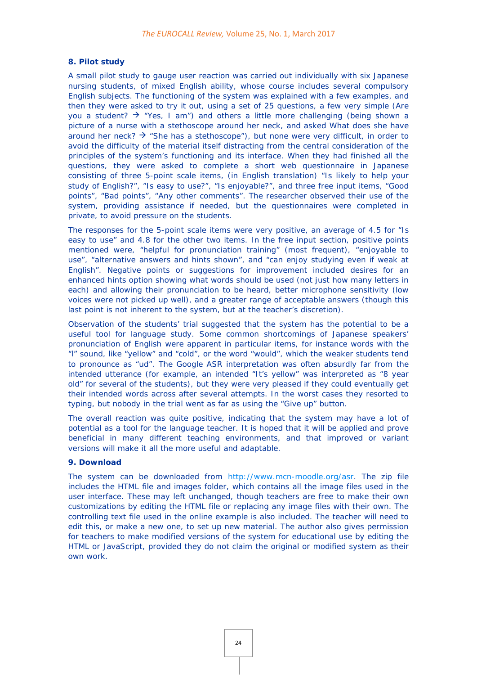#### **8. Pilot study**

A small pilot study to gauge user reaction was carried out individually with six Japanese nursing students, of mixed English ability, whose course includes several compulsory English subjects. The functioning of the system was explained with a few examples, and then they were asked to try it out, using a set of 25 questions, a few very simple (*Are you a student?*  $\rightarrow$  "Yes, I am") and others a little more challenging (being shown a picture of a nurse with a stethoscope around her neck, and asked *What does she have around her neck?*  $\rightarrow$  "She has a stethoscope"), but none were very difficult, in order to avoid the difficulty of the material itself distracting from the central consideration of the principles of the system's functioning and its interface. When they had finished all the questions, they were asked to complete a short web questionnaire in Japanese consisting of three 5-point scale items, (in English translation) "Is likely to help your study of English?", "Is easy to use?", "Is enjoyable?", and three free input items, "Good points", "Bad points", "Any other comments". The researcher observed their use of the system, providing assistance if needed, but the questionnaires were completed in private, to avoid pressure on the students.

The responses for the 5-point scale items were very positive, an average of 4.5 for "Is easy to use" and 4.8 for the other two items. In the free input section, positive points mentioned were, "helpful for pronunciation training" (most frequent), "enjoyable to use", "alternative answers and hints shown", and "can enjoy studying even if weak at English". Negative points or suggestions for improvement included desires for an enhanced hints option showing what words should be used (not just how many letters in each) and allowing their pronunciation to be heard, better microphone sensitivity (low voices were not picked up well), and a greater range of acceptable answers (though this last point is not inherent to the system, but at the teacher's discretion).

Observation of the students' trial suggested that the system has the potential to be a useful tool for language study. Some common shortcomings of Japanese speakers' pronunciation of English were apparent in particular items, for instance words with the "l" sound, like "yellow" and "cold", or the word "would", which the weaker students tend to pronounce as "ud". The Google ASR interpretation was often absurdly far from the intended utterance (for example, an intended "It's yellow" was interpreted as "8 year old" for several of the students), but they were very pleased if they could eventually get their intended words across after several attempts. In the worst cases they resorted to typing, but nobody in the trial went as far as using the "Give up" button.

The overall reaction was quite positive, indicating that the system may have a lot of potential as a tool for the language teacher. It is hoped that it will be applied and prove beneficial in many different teaching environments, and that improved or variant versions will make it all the more useful and adaptable.

#### **9. Download**

The system can be downloaded from [http://www.mcn-moodle.org/asr.](http://www.mcn-moodle.org/asr) The zip file includes the HTML file and images folder, which contains all the image files used in the user interface. These may left unchanged, though teachers are free to make their own customizations by editing the HTML file or replacing any image files with their own. The controlling text file used in the online example is also included. The teacher will need to edit this, or make a new one, to set up new material. The author also gives permission for teachers to make modified versions of the system for educational use by editing the HTML or JavaScript, provided they do not claim the original or modified system as their own work.